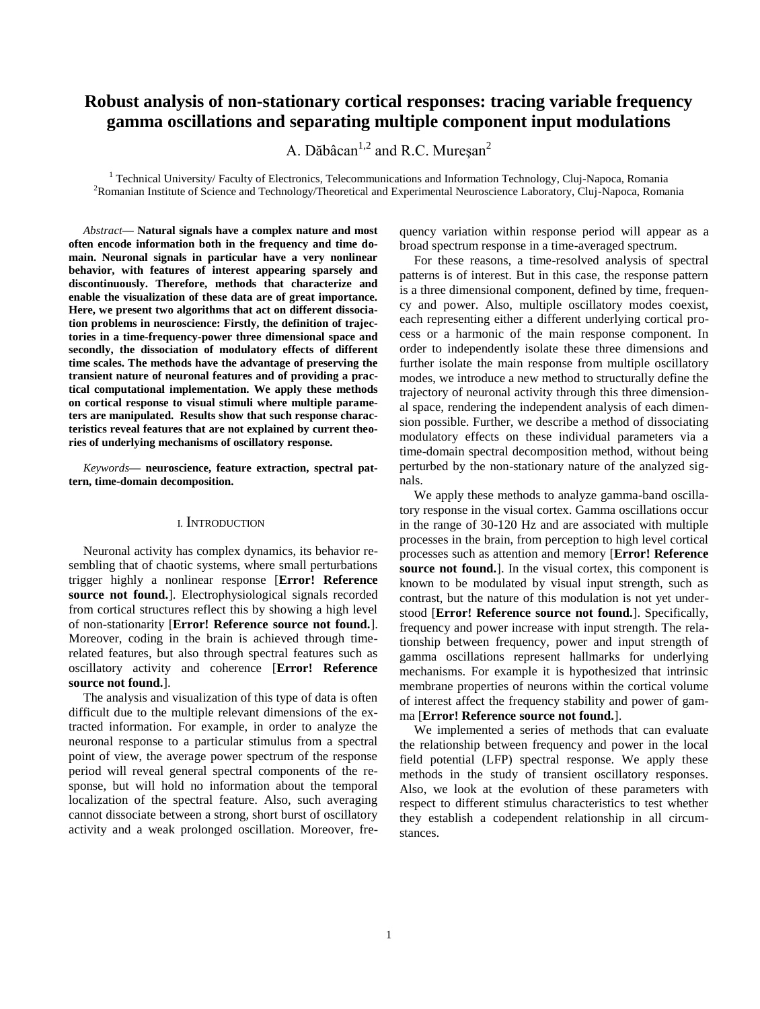# **Robust analysis of non-stationary cortical responses: tracing variable frequency gamma oscillations and separating multiple component input modulations**

A. Dăbâcan<sup>1,2</sup> and R.C. Mureșan<sup>2</sup>

 $1$  Technical University/Faculty of Electronics, Telecommunications and Information Technology, Cluj-Napoca, Romania <sup>2</sup>Romanian Institute of Science and Technology/Theoretical and Experimental Neuroscience Laboratory, Cluj-Napoca, Romania

*Abstract***— Natural signals have a complex nature and most often encode information both in the frequency and time domain. Neuronal signals in particular have a very nonlinear behavior, with features of interest appearing sparsely and discontinuously. Therefore, methods that characterize and enable the visualization of these data are of great importance. Here, we present two algorithms that act on different dissociation problems in neuroscience: Firstly, the definition of trajectories in a time-frequency-power three dimensional space and secondly, the dissociation of modulatory effects of different time scales. The methods have the advantage of preserving the transient nature of neuronal features and of providing a practical computational implementation. We apply these methods on cortical response to visual stimuli where multiple parameters are manipulated. Results show that such response characteristics reveal features that are not explained by current theories of underlying mechanisms of oscillatory response.** 

*Keywords***— neuroscience, feature extraction, spectral pattern, time-domain decomposition.**

# I. INTRODUCTION

Neuronal activity has complex dynamics, its behavior resembling that of chaotic systems, where small perturbations trigger highly a nonlinear response [**Error! Reference source not found.**]. Electrophysiological signals recorded from cortical structures reflect this by showing a high level of non-stationarity [**Error! Reference source not found.**]. Moreover, coding in the brain is achieved through timerelated features, but also through spectral features such as oscillatory activity and coherence [**Error! Reference source not found.**].

The analysis and visualization of this type of data is often difficult due to the multiple relevant dimensions of the extracted information. For example, in order to analyze the neuronal response to a particular stimulus from a spectral point of view, the average power spectrum of the response period will reveal general spectral components of the response, but will hold no information about the temporal localization of the spectral feature. Also, such averaging cannot dissociate between a strong, short burst of oscillatory activity and a weak prolonged oscillation. Moreover, fre-

quency variation within response period will appear as a broad spectrum response in a time-averaged spectrum.

For these reasons, a time-resolved analysis of spectral patterns is of interest. But in this case, the response pattern is a three dimensional component, defined by time, frequency and power. Also, multiple oscillatory modes coexist, each representing either a different underlying cortical process or a harmonic of the main response component. In order to independently isolate these three dimensions and further isolate the main response from multiple oscillatory modes, we introduce a new method to structurally define the trajectory of neuronal activity through this three dimensional space, rendering the independent analysis of each dimension possible. Further, we describe a method of dissociating modulatory effects on these individual parameters via a time-domain spectral decomposition method, without being perturbed by the non-stationary nature of the analyzed signals.

We apply these methods to analyze gamma-band oscillatory response in the visual cortex. Gamma oscillations occur in the range of 30-120 Hz and are associated with multiple processes in the brain, from perception to high level cortical processes such as attention and memory [**Error! Reference**  source not found.]. In the visual cortex, this component is known to be modulated by visual input strength, such as contrast, but the nature of this modulation is not yet understood [**Error! Reference source not found.**]. Specifically, frequency and power increase with input strength. The relationship between frequency, power and input strength of gamma oscillations represent hallmarks for underlying mechanisms. For example it is hypothesized that intrinsic membrane properties of neurons within the cortical volume of interest affect the frequency stability and power of gamma [**Error! Reference source not found.**].

We implemented a series of methods that can evaluate the relationship between frequency and power in the local field potential (LFP) spectral response. We apply these methods in the study of transient oscillatory responses. Also, we look at the evolution of these parameters with respect to different stimulus characteristics to test whether they establish a codependent relationship in all circumstances.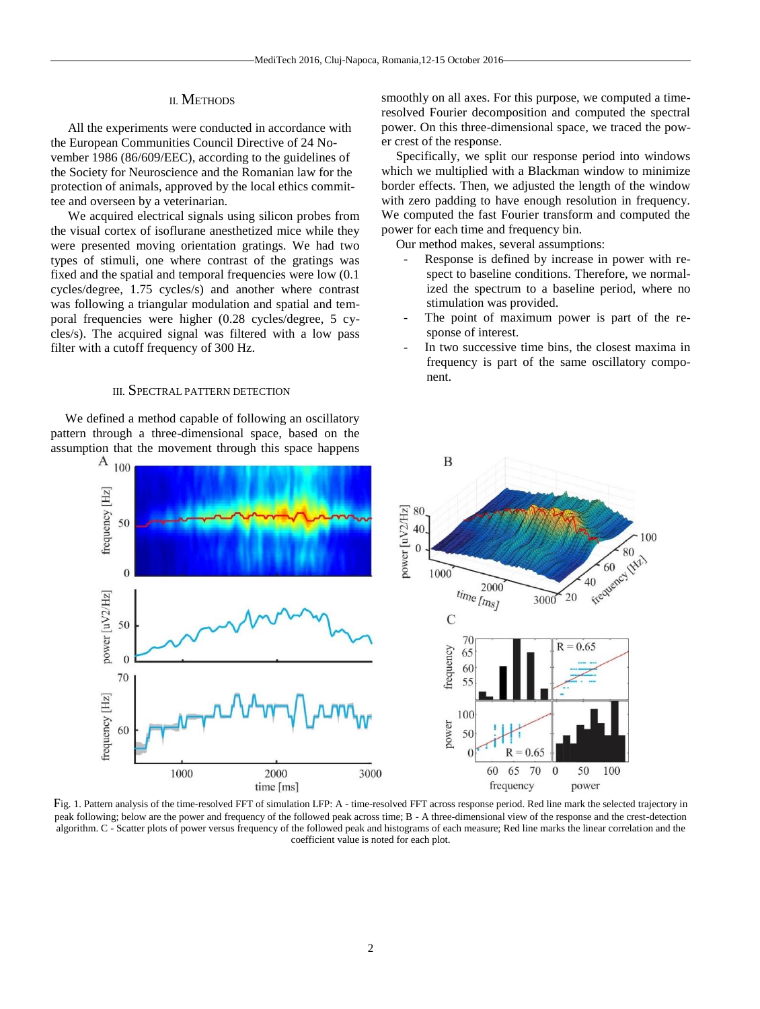# II. METHODS

All the experiments were conducted in accordance with the European Communities Council Directive of 24 November 1986 (86/609/EEC), according to the guidelines of the Society for Neuroscience and the Romanian law for the protection of animals, approved by the local ethics committee and overseen by a veterinarian.

We acquired electrical signals using silicon probes from the visual cortex of isoflurane anesthetized mice while they were presented moving orientation gratings. We had two types of stimuli, one where contrast of the gratings was fixed and the spatial and temporal frequencies were low (0.1 cycles/degree, 1.75 cycles/s) and another where contrast was following a triangular modulation and spatial and temporal frequencies were higher (0.28 cycles/degree, 5 cycles/s). The acquired signal was filtered with a low pass filter with a cutoff frequency of 300 Hz.

#### III. SPECTRAL PATTERN DETECTION

We defined a method capable of following an oscillatory pattern through a three-dimensional space, based on the assumption that the movement through this space happens

smoothly on all axes. For this purpose, we computed a timeresolved Fourier decomposition and computed the spectral power. On this three-dimensional space, we traced the power crest of the response.

Specifically, we split our response period into windows which we multiplied with a Blackman window to minimize border effects. Then, we adjusted the length of the window with zero padding to have enough resolution in frequency. We computed the fast Fourier transform and computed the power for each time and frequency bin.

Our method makes, several assumptions:

- Response is defined by increase in power with respect to baseline conditions. Therefore, we normalized the spectrum to a baseline period, where no stimulation was provided.
- The point of maximum power is part of the response of interest.
- In two successive time bins, the closest maxima in frequency is part of the same oscillatory component.



Fig. 1. Pattern analysis of the time-resolved FFT of simulation LFP: A - time-resolved FFT across response period. Red line mark the selected trajectory in peak following; below are the power and frequency of the followed peak across time; B - A three-dimensional view of the response and the crest-detection algorithm. C - Scatter plots of power versus frequency of the followed peak and histograms of each measure; Red line marks the linear correlation and the coefficient value is noted for each plot.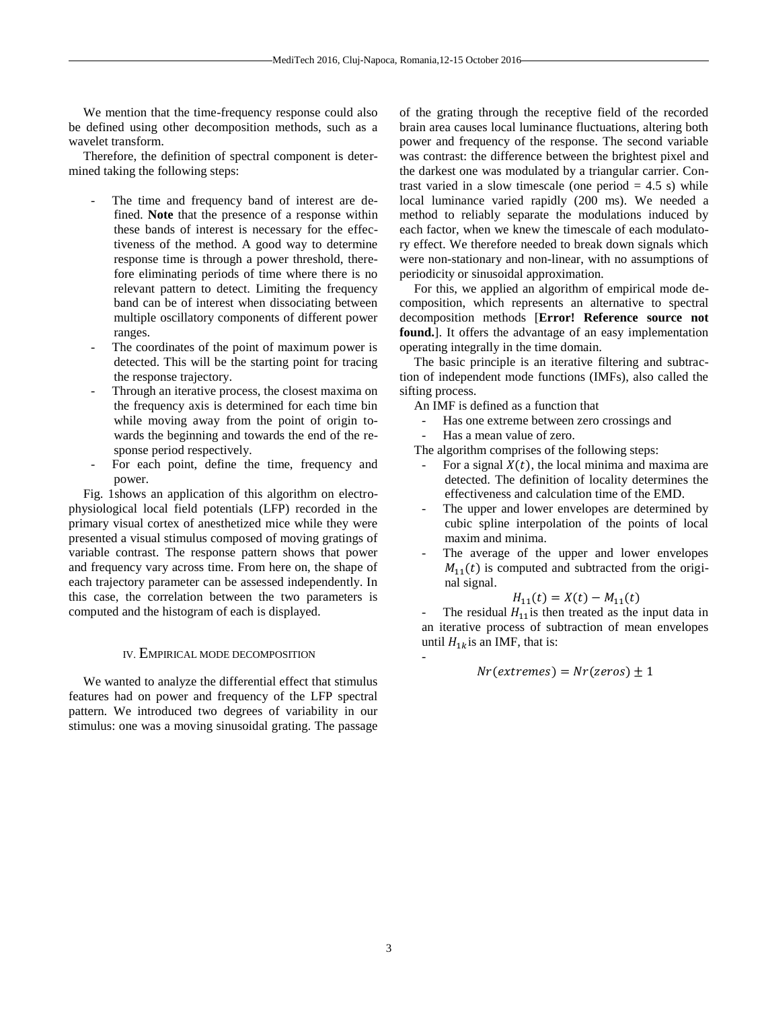We mention that the time-frequency response could also be defined using other decomposition methods, such as a wavelet transform.

Therefore, the definition of spectral component is determined taking the following steps:

- The time and frequency band of interest are defined. **Note** that the presence of a response within these bands of interest is necessary for the effectiveness of the method. A good way to determine response time is through a power threshold, therefore eliminating periods of time where there is no relevant pattern to detect. Limiting the frequency band can be of interest when dissociating between multiple oscillatory components of different power ranges.
- The coordinates of the point of maximum power is detected. This will be the starting point for tracing the response trajectory.
- Through an iterative process, the closest maxima on the frequency axis is determined for each time bin while moving away from the point of origin towards the beginning and towards the end of the response period respectively.
- For each point, define the time, frequency and power.

Fig. 1shows an application of this algorithm on electrophysiological local field potentials (LFP) recorded in the primary visual cortex of anesthetized mice while they were presented a visual stimulus composed of moving gratings of variable contrast. The response pattern shows that power and frequency vary across time. From here on, the shape of each trajectory parameter can be assessed independently. In this case, the correlation between the two parameters is computed and the histogram of each is displayed.

# IV. EMPIRICAL MODE DECOMPOSITION

We wanted to analyze the differential effect that stimulus features had on power and frequency of the LFP spectral pattern. We introduced two degrees of variability in our stimulus: one was a moving sinusoidal grating. The passage of the grating through the receptive field of the recorded brain area causes local luminance fluctuations, altering both power and frequency of the response. The second variable was contrast: the difference between the brightest pixel and the darkest one was modulated by a triangular carrier. Contrast varied in a slow timescale (one period  $= 4.5$  s) while local luminance varied rapidly (200 ms). We needed a method to reliably separate the modulations induced by each factor, when we knew the timescale of each modulatory effect. We therefore needed to break down signals which were non-stationary and non-linear, with no assumptions of periodicity or sinusoidal approximation.

For this, we applied an algorithm of empirical mode decomposition, which represents an alternative to spectral decomposition methods [**Error! Reference source not found.**]. It offers the advantage of an easy implementation operating integrally in the time domain.

The basic principle is an iterative filtering and subtraction of independent mode functions (IMFs), also called the sifting process.

An IMF is defined as a function that

- Has one extreme between zero crossings and
- Has a mean value of zero.

The algorithm comprises of the following steps:

- For a signal  $X(t)$ , the local minima and maxima are detected. The definition of locality determines the effectiveness and calculation time of the EMD.
- The upper and lower envelopes are determined by cubic spline interpolation of the points of local maxim and minima.
- The average of the upper and lower envelopes  $M_{11}(t)$  is computed and subtracted from the original signal.

$$
H_{11}(t) = X(t) - M_{11}(t)
$$

The residual  $H_{11}$  is then treated as the input data in an iterative process of subtraction of mean envelopes until  $H_{1k}$  is an IMF, that is:

$$
Nr(extremes) = Nr(zeros) \pm 1
$$

-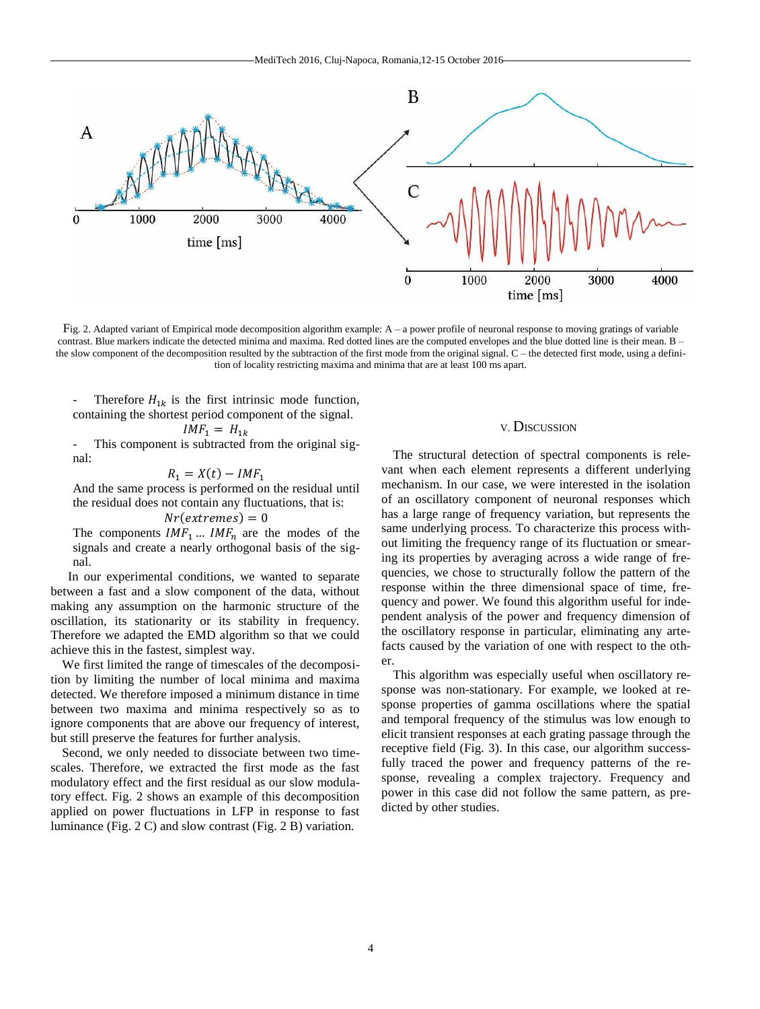

<span id="page-3-0"></span>Fig. 2. Adapted variant of Empirical mode decomposition algorithm example:  $A - a$  power profile of neuronal response to moving gratings of variable contrast. Blue markers indicate the detected minima and maxima. Red dotted lines are the computed envelopes and the blue dotted line is their mean. B – the slow component of the decomposition resulted by the subtraction of the first mode from the original signal.  $C$  – the detected first mode, using a definition of locality restricting maxima and minima that are at least 100 ms apart.

Therefore  $H_{1k}$  is the first intrinsic mode function, containing the shortest period component of the signal.

$$
IMF_1 = H_{1k}
$$

- This component is subtracted from the original signal:

$$
R_1 = X(t) - IMF_1
$$

And the same process is performed on the residual until the residual does not contain any fluctuations, that is:

$$
Nr(extremes)=0
$$

The components  $IMF_1 ... IMF_n$  are the modes of the signals and create a nearly orthogonal basis of the signal.

In our experimental conditions, we wanted to separate between a fast and a slow component of the data, without making any assumption on the harmonic structure of the oscillation, its stationarity or its stability in frequency. Therefore we adapted the EMD algorithm so that we could achieve this in the fastest, simplest way.

We first limited the range of timescales of the decomposition by limiting the number of local minima and maxima detected. We therefore imposed a minimum distance in time between two maxima and minima respectively so as to ignore components that are above our frequency of interest, but still preserve the features for further analysis.

Second, we only needed to dissociate between two timescales. Therefore, we extracted the first mode as the fast modulatory effect and the first residual as our slow modulatory effect. [Fig. 2](#page-3-0) shows an example of this decomposition applied on power fluctuations in LFP in response to fast luminance [\(Fig. 2](#page-3-0) C) and slow contrast [\(Fig. 2](#page-3-0) B) variation.

# V. DISCUSSION

The structural detection of spectral components is relevant when each element represents a different underlying mechanism. In our case, we were interested in the isolation of an oscillatory component of neuronal responses which has a large range of frequency variation, but represents the same underlying process. To characterize this process without limiting the frequency range of its fluctuation or smearing its properties by averaging across a wide range of frequencies, we chose to structurally follow the pattern of the response within the three dimensional space of time, frequency and power. We found this algorithm useful for independent analysis of the power and frequency dimension of the oscillatory response in particular, eliminating any artefacts caused by the variation of one with respect to the other.

This algorithm was especially useful when oscillatory response was non-stationary. For example, we looked at response properties of gamma oscillations where the spatial and temporal frequency of the stimulus was low enough to elicit transient responses at each grating passage through the receptive field [\(Fig. 3\)](#page-4-0). In this case, our algorithm successfully traced the power and frequency patterns of the response, revealing a complex trajectory. Frequency and power in this case did not follow the same pattern, as predicted by other studies.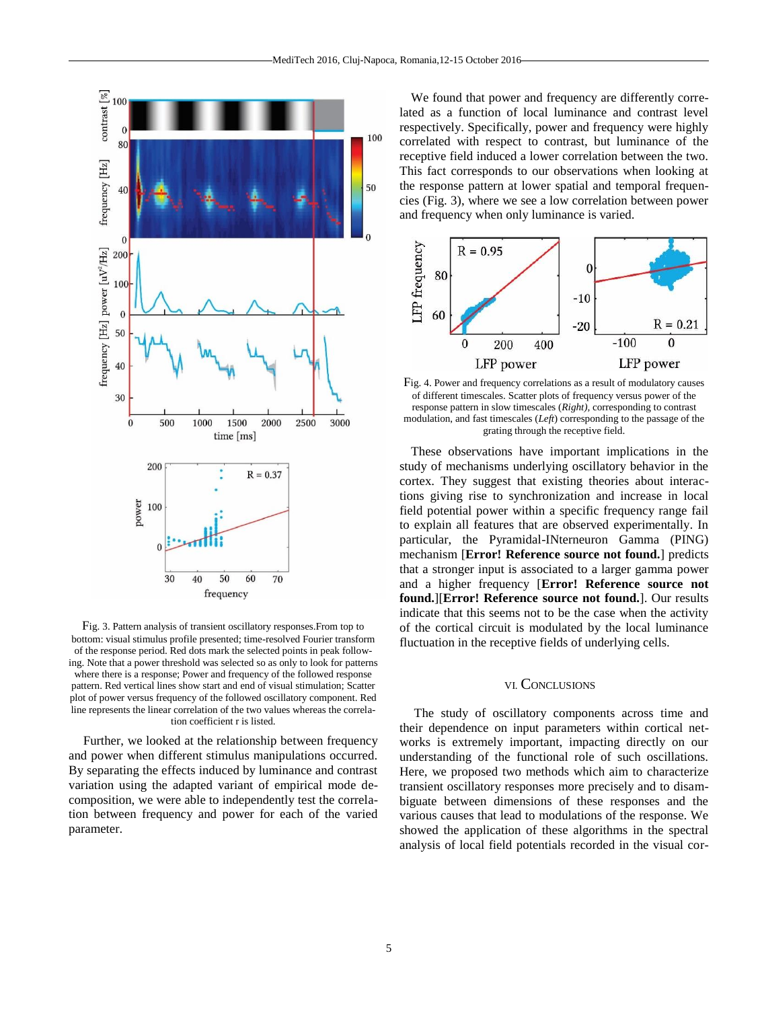

<span id="page-4-0"></span>Fig. 3. Pattern analysis of transient oscillatory responses.From top to bottom: visual stimulus profile presented; time-resolved Fourier transform of the response period. Red dots mark the selected points in peak following. Note that a power threshold was selected so as only to look for patterns where there is a response; Power and frequency of the followed response pattern. Red vertical lines show start and end of visual stimulation; Scatter plot of power versus frequency of the followed oscillatory component. Red line represents the linear correlation of the two values whereas the correlation coefficient r is listed.

Further, we looked at the relationship between frequency and power when different stimulus manipulations occurred. By separating the effects induced by luminance and contrast variation using the adapted variant of empirical mode decomposition, we were able to independently test the correlation between frequency and power for each of the varied parameter.

We found that power and frequency are differently correlated as a function of local luminance and contrast level respectively. Specifically, power and frequency were highly correlated with respect to contrast, but luminance of the receptive field induced a lower correlation between the two. This fact corresponds to our observations when looking at the response pattern at lower spatial and temporal frequencies [\(Fig. 3\)](#page-4-0), where we see a low correlation between power and frequency when only luminance is varied.



Fig. 4. Power and frequency correlations as a result of modulatory causes of different timescales. Scatter plots of frequency versus power of the response pattern in slow timescales (*Right),* corresponding to contrast modulation, and fast timescales (*Left*) corresponding to the passage of the grating through the receptive field.

These observations have important implications in the study of mechanisms underlying oscillatory behavior in the cortex. They suggest that existing theories about interactions giving rise to synchronization and increase in local field potential power within a specific frequency range fail to explain all features that are observed experimentally. In particular, the Pyramidal-INterneuron Gamma (PING) mechanism [**Error! Reference source not found.**] predicts that a stronger input is associated to a larger gamma power and a higher frequency [**Error! Reference source not found.**][**Error! Reference source not found.**]. Our results indicate that this seems not to be the case when the activity of the cortical circuit is modulated by the local luminance fluctuation in the receptive fields of underlying cells.

# VI. CONCLUSIONS

The study of oscillatory components across time and their dependence on input parameters within cortical networks is extremely important, impacting directly on our understanding of the functional role of such oscillations. Here, we proposed two methods which aim to characterize transient oscillatory responses more precisely and to disambiguate between dimensions of these responses and the various causes that lead to modulations of the response. We showed the application of these algorithms in the spectral analysis of local field potentials recorded in the visual cor